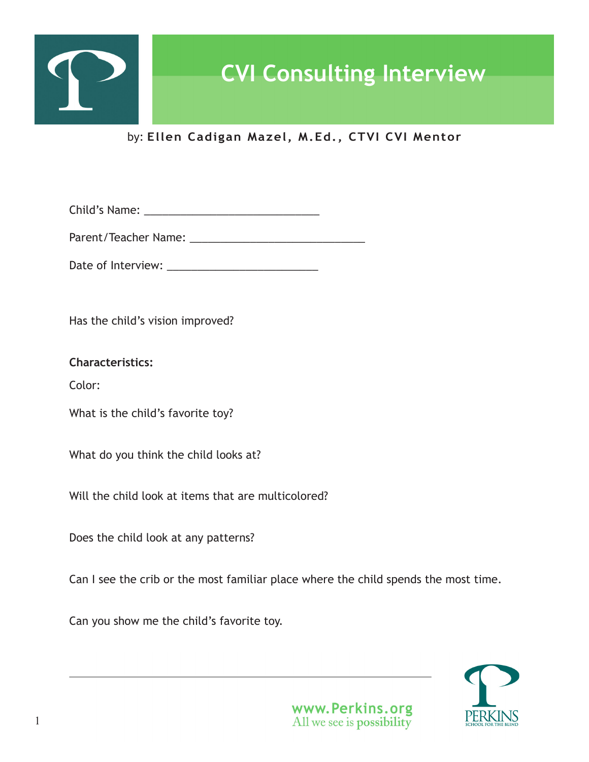

by: **Ellen Cadigan Mazel, M.Ed., CTVI CVI Mentor**

Child's Name: \_\_\_\_\_\_\_\_\_\_\_\_\_\_\_\_\_\_\_\_\_\_\_\_\_\_\_\_\_

Parent/Teacher Name: \_\_\_\_\_\_\_\_\_\_\_\_\_\_\_\_\_\_\_\_\_\_\_\_\_\_\_\_\_

Date of Interview: \_\_\_\_\_\_\_\_\_\_\_\_\_\_\_\_\_\_\_\_\_\_\_\_\_

Has the child's vision improved?

**Characteristics:**

Color:

What is the child's favorite toy?

What do you think the child looks at?

Will the child look at items that are multicolored?

Does the child look at any patterns?

Can I see the crib or the most familiar place where the child spends the most time.

Can you show me the child's favorite toy.

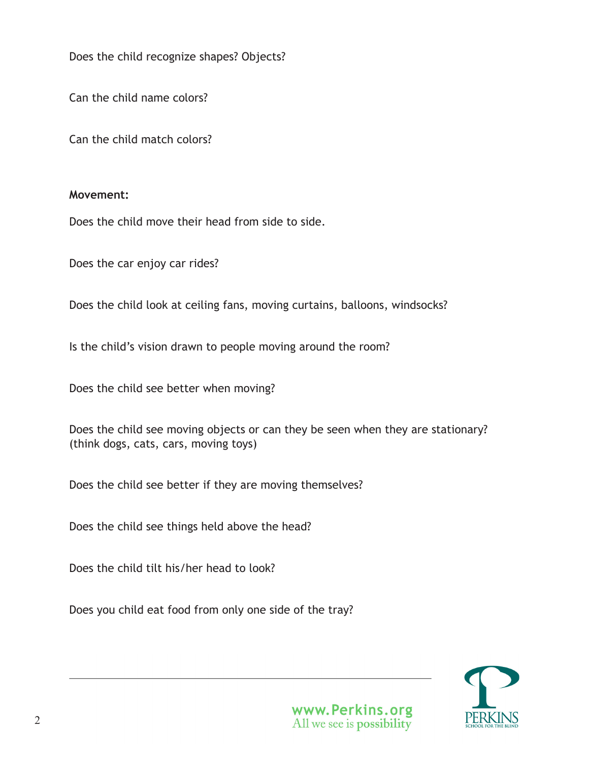Does the child recognize shapes? Objects?

Can the child name colors?

Can the child match colors?

#### **Movement:**

Does the child move their head from side to side.

Does the car enjoy car rides?

Does the child look at ceiling fans, moving curtains, balloons, windsocks?

Is the child's vision drawn to people moving around the room?

Does the child see better when moving?

Does the child see moving objects or can they be seen when they are stationary? (think dogs, cats, cars, moving toys)

Does the child see better if they are moving themselves?

Does the child see things held above the head?

Does the child tilt his/her head to look?

Does you child eat food from only one side of the tray?

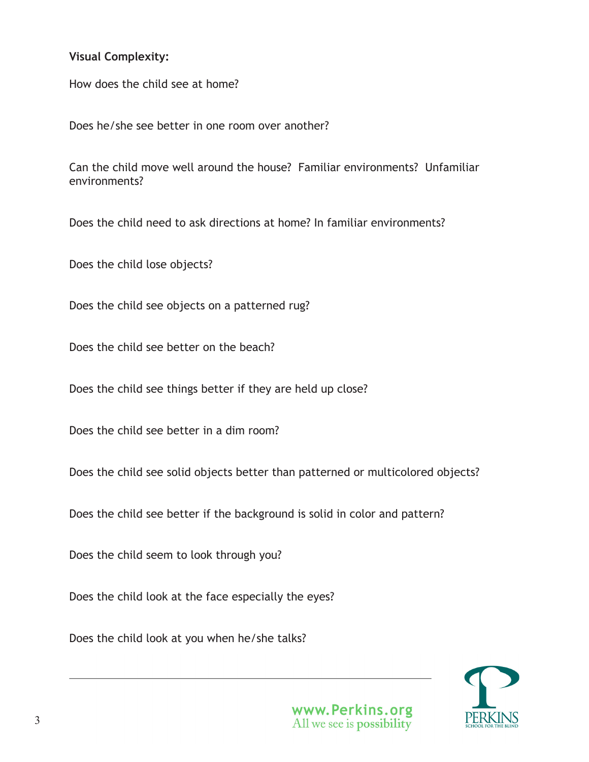### **Visual Complexity:**

How does the child see at home?

Does he/she see better in one room over another?

Can the child move well around the house? Familiar environments? Unfamiliar environments?

Does the child need to ask directions at home? In familiar environments?

Does the child lose objects?

Does the child see objects on a patterned rug?

Does the child see better on the beach?

Does the child see things better if they are held up close?

Does the child see better in a dim room?

Does the child see solid objects better than patterned or multicolored objects?

Does the child see better if the background is solid in color and pattern?

Does the child seem to look through you?

Does the child look at the face especially the eyes?

Does the child look at you when he/she talks?

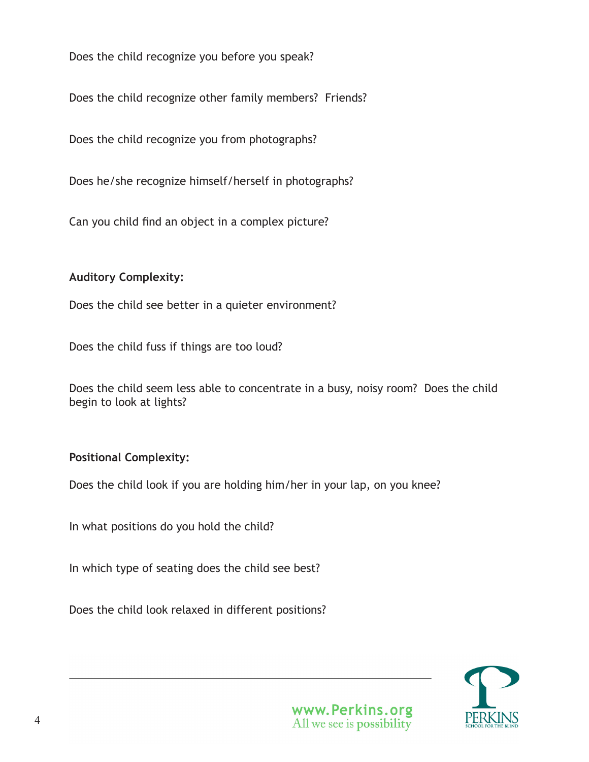Does the child recognize you before you speak?

Does the child recognize other family members? Friends?

Does the child recognize you from photographs?

Does he/she recognize himself/herself in photographs?

Can you child find an object in a complex picture?

### **Auditory Complexity:**

Does the child see better in a quieter environment?

Does the child fuss if things are too loud?

| Does the child seem less able to concentrate in a busy, noisy room? Does the child |  |  |  |  |  |
|------------------------------------------------------------------------------------|--|--|--|--|--|
| begin to look at lights?                                                           |  |  |  |  |  |

## **Positional Complexity:**

Does the child look if you are holding him/her in your lap, on you knee?

In what positions do you hold the child?

In which type of seating does the child see best?

Does the child look relaxed in different positions?

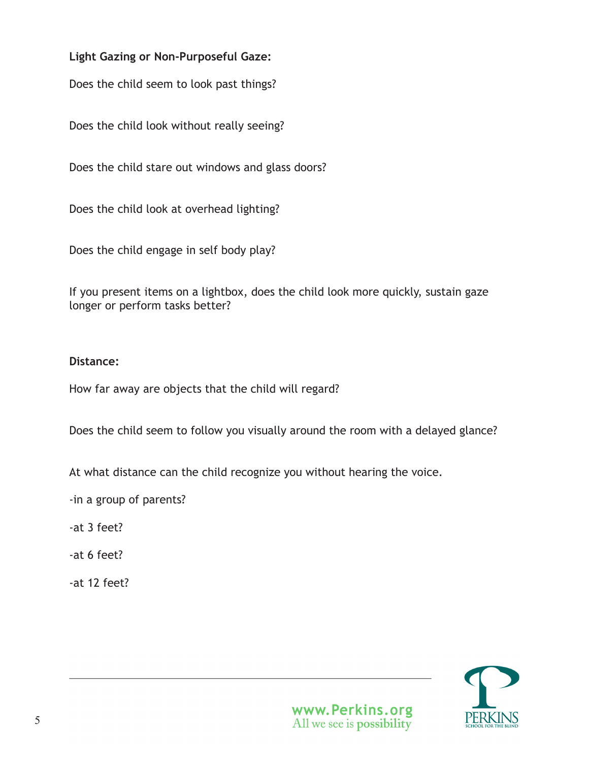# **Light Gazing or Non-Purposeful Gaze:**

Does the child seem to look past things?

Does the child look without really seeing?

Does the child stare out windows and glass doors?

Does the child look at overhead lighting?

Does the child engage in self body play?

If you present items on a lightbox, does the child look more quickly, sustain gaze longer or perform tasks better?

## **Distance:**

How far away are objects that the child will regard?

Does the child seem to follow you visually around the room with a delayed glance?

At what distance can the child recognize you without hearing the voice.

-in a group of parents?

-at 3 feet?

-at 6 feet?

-at 12 feet?

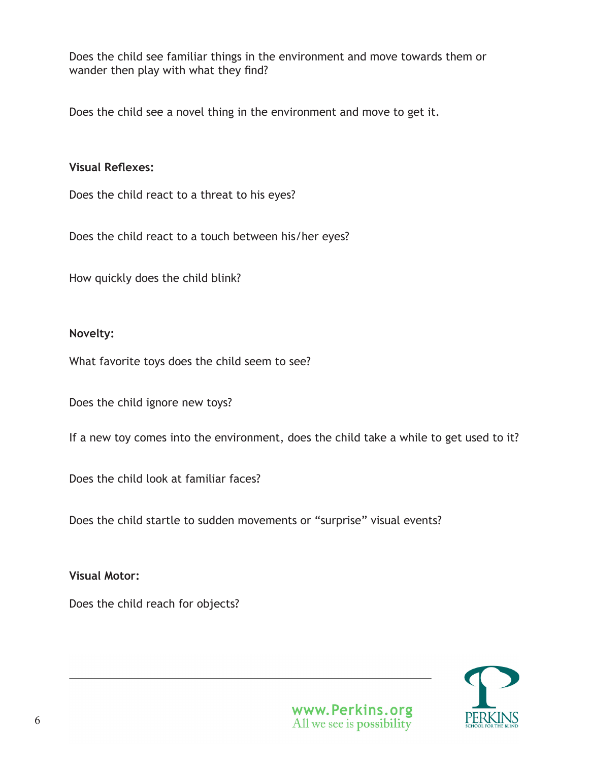Does the child see familiar things in the environment and move towards them or wander then play with what they find?

Does the child see a novel thing in the environment and move to get it.

### **Visual Reflexes:**

Does the child react to a threat to his eyes?

Does the child react to a touch between his/her eyes?

How quickly does the child blink?

### **Novelty:**

What favorite toys does the child seem to see?

Does the child ignore new toys?

If a new toy comes into the environment, does the child take a while to get used to it?

Does the child look at familiar faces?

Does the child startle to sudden movements or "surprise" visual events?

**Visual Motor:**

Does the child reach for objects?

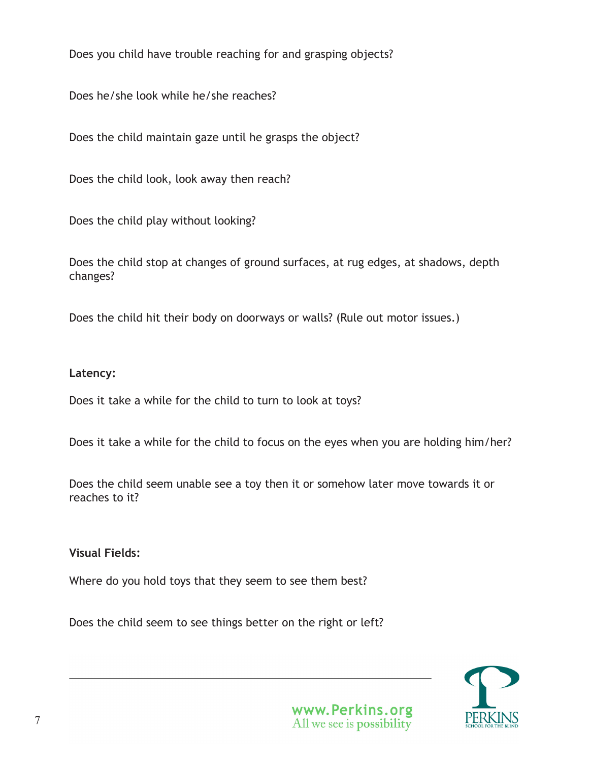Does you child have trouble reaching for and grasping objects?

Does he/she look while he/she reaches?

Does the child maintain gaze until he grasps the object?

Does the child look, look away then reach?

Does the child play without looking?

Does the child stop at changes of ground surfaces, at rug edges, at shadows, depth changes?

Does the child hit their body on doorways or walls? (Rule out motor issues.)

### **Latency:**

Does it take a while for the child to turn to look at toys?

Does it take a while for the child to focus on the eyes when you are holding him/her?

Does the child seem unable see a toy then it or somehow later move towards it or reaches to it?

**Visual Fields:**

Where do you hold toys that they seem to see them best?

Does the child seem to see things better on the right or left?